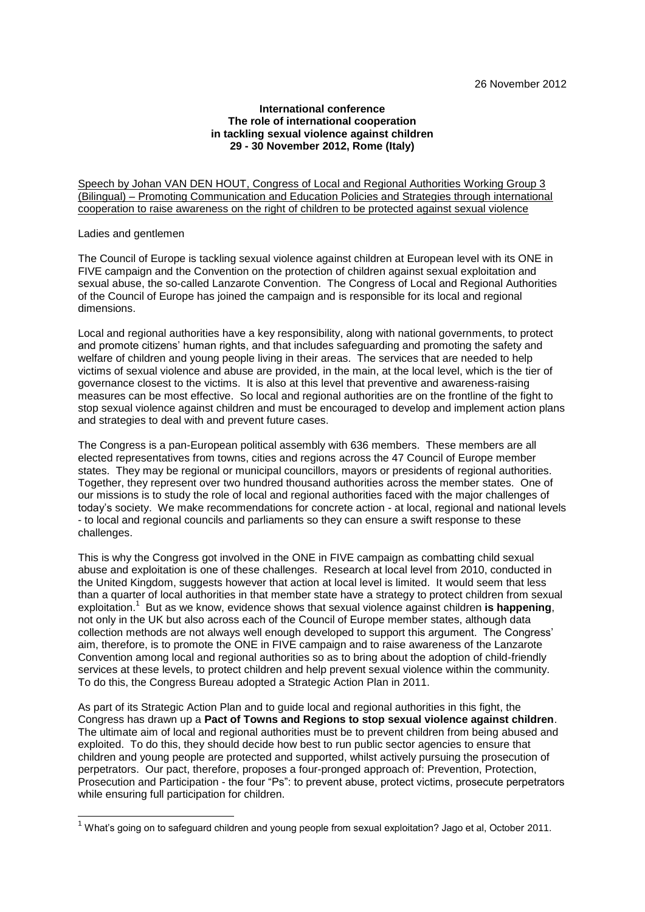## **International conference The role of international cooperation in tackling sexual violence against children 29 - 30 November 2012, Rome (Italy)**

Speech by Johan VAN DEN HOUT, Congress of Local and Regional Authorities Working Group 3 (Bilingual) – Promoting Communication and Education Policies and Strategies through international cooperation to raise awareness on the right of children to be protected against sexual violence

## Ladies and gentlemen

-

The Council of Europe is tackling sexual violence against children at European level with its ONE in FIVE campaign and the Convention on the protection of children against sexual exploitation and sexual abuse, the so-called Lanzarote Convention. The Congress of Local and Regional Authorities of the Council of Europe has joined the campaign and is responsible for its local and regional dimensions.

Local and regional authorities have a key responsibility, along with national governments, to protect and promote citizens' human rights, and that includes safeguarding and promoting the safety and welfare of children and young people living in their areas. The services that are needed to help victims of sexual violence and abuse are provided, in the main, at the local level, which is the tier of governance closest to the victims. It is also at this level that preventive and awareness-raising measures can be most effective. So local and regional authorities are on the frontline of the fight to stop sexual violence against children and must be encouraged to develop and implement action plans and strategies to deal with and prevent future cases.

The Congress is a pan-European political assembly with 636 members. These members are all elected representatives from towns, cities and regions across the 47 Council of Europe member states. They may be regional or municipal councillors, mayors or presidents of regional authorities. Together, they represent over two hundred thousand authorities across the member states. One of our missions is to study the role of local and regional authorities faced with the major challenges of today's society. We make recommendations for concrete action - at local, regional and national levels - to local and regional councils and parliaments so they can ensure a swift response to these challenges.

This is why the Congress got involved in the ONE in FIVE campaign as combatting child sexual abuse and exploitation is one of these challenges. Research at local level from 2010, conducted in the United Kingdom, suggests however that action at local level is limited. It would seem that less than a quarter of local authorities in that member state have a strategy to protect children from sexual exploitation.<sup>1</sup> But as we know, evidence shows that sexual violence against children **is happening**, not only in the UK but also across each of the Council of Europe member states, although data collection methods are not always well enough developed to support this argument. The Congress' aim, therefore, is to promote the ONE in FIVE campaign and to raise awareness of the Lanzarote Convention among local and regional authorities so as to bring about the adoption of child-friendly services at these levels, to protect children and help prevent sexual violence within the community. To do this, the Congress Bureau adopted a Strategic Action Plan in 2011.

As part of its Strategic Action Plan and to guide local and regional authorities in this fight, the Congress has drawn up a **Pact of Towns and Regions to stop sexual violence against children**. The ultimate aim of local and regional authorities must be to prevent children from being abused and exploited. To do this, they should decide how best to run public sector agencies to ensure that children and young people are protected and supported, whilst actively pursuing the prosecution of perpetrators. Our pact, therefore, proposes a four-pronged approach of: Prevention, Protection, Prosecution and Participation - the four "Ps": to prevent abuse, protect victims, prosecute perpetrators while ensuring full participation for children.

 $1$  What's going on to safeguard children and young people from sexual exploitation? Jago et al, October 2011.